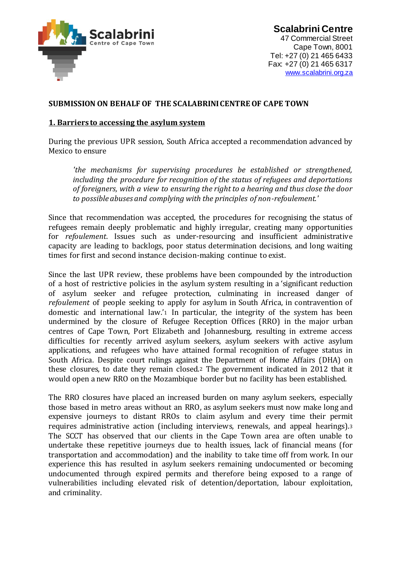

**Scalabrini Centre**  47 Commercial Street Cape Town, 8001 Tel: +27 (0) 21 465 6433 Fax: +27 (0) 21 465 6317 www.scalabrini.org.za

### **SUBMISSION ON BEHALF OF THE SCALABRINI CENTRE OF CAPE TOWN**

#### **1. Barriers to accessing the asylum system**

During the previous UPR session, South Africa accepted a recommendation advanced by Mexico to ensure

*'the mechanisms for supervising procedures be established or strengthened, including the procedure for recognition of the status of refugees and deportations of foreigners, with a view to ensuring the right to a hearing and thus close the door to possible abuses and complying with the principles of non-refoulement.'*

Since that recommendation was accepted, the procedures for recognising the status of refugees remain deeply problematic and highly irregular, creating many opportunities for *refoulement*. Issues such as under-resourcing and insufficient administrative capacity are leading to backlogs, poor status determination decisions, and long waiting times for first and second instance decision-making continue to exist.

Since the last UPR review, these problems have been compounded by the introduction of a host of restrictive policies in the asylum system resulting in a 'significant reduction of asylum seeker and refugee protection, culminating in increased danger of *refoulement* of people seeking to apply for asylum in South Africa, in contravention of domestic and international law.'<sup>1</sup> In particular, the integrity of the system has been undermined by the closure of Refugee Reception Offices (RRO) in the major urban centres of Cape Town, Port Elizabeth and Johannesburg, resulting in extreme access difficulties for recently arrived asylum seekers, asylum seekers with active asylum applications, and refugees who have attained formal recognition of refugee status in South Africa. Despite court rulings against the Department of Home Affairs (DHA) on these closures, to date they remain closed.<sup>2</sup> The government indicated in 2012 that it would open a new RRO on the Mozambique border but no facility has been established.

The RRO closures have placed an increased burden on many asylum seekers, especially those based in metro areas without an RRO, as asylum seekers must now make long and expensive journeys to distant RROs to claim asylum and every time their permit requires administrative action (including interviews, renewals, and appeal hearings).<sup>3</sup> The SCCT has observed that our clients in the Cape Town area are often unable to undertake these repetitive journeys due to health issues, lack of financial means (for transportation and accommodation) and the inability to take time off from work. In our experience this has resulted in asylum seekers remaining undocumented or becoming undocumented through expired permits and therefore being exposed to a range of vulnerabilities including elevated risk of detention/deportation, labour exploitation, and criminality.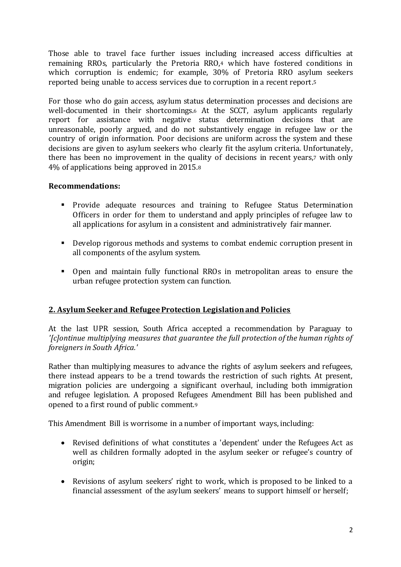Those able to travel face further issues including increased access difficulties at remaining RROs, particularly the Pretoria RRO,<sup>4</sup> which have fostered conditions in which corruption is endemic; for example, 30% of Pretoria RRO asylum seekers reported being unable to access services due to corruption in a recent report.<sup>5</sup>

For those who do gain access, asylum status determination processes and decisions are well-documented in their shortcomings.<sup>6</sup> At the SCCT, asylum applicants regularly report for assistance with negative status determination decisions that are unreasonable, poorly argued, and do not substantively engage in refugee law or the country of origin information. Poor decisions are uniform across the system and these decisions are given to asylum seekers who clearly fit the asylum criteria. Unfortunately, there has been no improvement in the quality of decisions in recent years,<sup>7</sup> with only 4% of applications being approved in 2015.<sup>8</sup>

#### **Recommendations:**

- **Provide adequate resources and training to Refugee Status Determination** Officers in order for them to understand and apply principles of refugee law to all applications for asylum in a consistent and administratively fair manner.
- Develop rigorous methods and systems to combat endemic corruption present in all components of the asylum system.
- Open and maintain fully functional RROs in metropolitan areas to ensure the urban refugee protection system can function.

# **2. Asylum Seeker and Refugee Protection Legislation and Policies**

At the last UPR session, South Africa accepted a recommendation by Paraguay to *'[c]ontinue multiplying measures that guarantee the full protection of the human rights of foreigners in South Africa.'*

Rather than multiplying measures to advance the rights of asylum seekers and refugees, there instead appears to be a trend towards the restriction of such rights. At present, migration policies are undergoing a significant overhaul, including both immigration and refugee legislation. A proposed Refugees Amendment Bill has been published and opened to a first round of public comment.<sup>9</sup>

This Amendment Bill is worrisome in a number of important ways, including:

- Revised definitions of what constitutes a 'dependent' under the Refugees Act as well as children formally adopted in the asylum seeker or refugee's country of origin;
- Revisions of asylum seekers' right to work, which is proposed to be linked to a financial assessment of the asylum seekers' means to support himself or herself;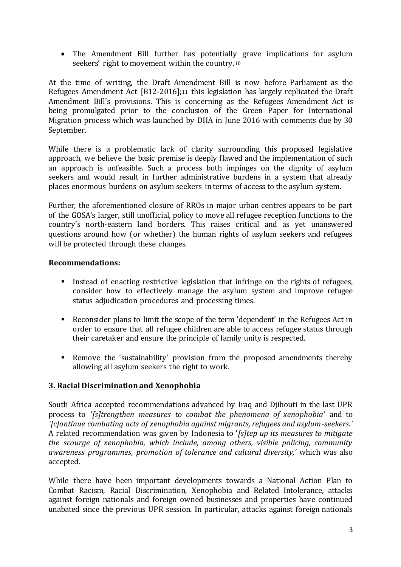The Amendment Bill further has potentially grave implications for asylum seekers' right to movement within the country.<sup>10</sup>

At the time of writing, the Draft Amendment Bill is now before Parliament as the Refugees Amendment Act [B12-2016];<sup>11</sup> this legislation has largely replicated the Draft Amendment Bill's provisions. This is concerning as the Refugees Amendment Act is being promulgated prior to the conclusion of the Green Paper for International Migration process which was launched by DHA in June 2016 with comments due by 30 September.

While there is a problematic lack of clarity surrounding this proposed legislative approach, we believe the basic premise is deeply flawed and the implementation of such an approach is unfeasible. Such a process both impinges on the dignity of asylum seekers and would result in further administrative burdens in a system that already places enormous burdens on asylum seekers in terms of access to the asylum system.

Further, the aforementioned closure of RROs in major urban centres appears to be part of the GOSA's larger, still unofficial, policy to move all refugee reception functions to the country's north-eastern land borders. This raises critical and as yet unanswered questions around how (or whether) the human rights of asylum seekers and refugees will be protected through these changes.

## **Recommendations:**

- Instead of enacting restrictive legislation that infringe on the rights of refugees, consider how to effectively manage the asylum system and improve refugee status adjudication procedures and processing times.
- Reconsider plans to limit the scope of the term 'dependent' in the Refugees Act in order to ensure that all refugee children are able to access refugee status through their caretaker and ensure the principle of family unity is respected.
- Remove the 'sustainability' provision from the proposed amendments thereby allowing all asylum seekers the right to work.

# **3. Racial Discrimination and Xenophobia**

South Africa accepted recommendations advanced by Iraq and Djibouti in the last UPR process to *'[s]trengthen measures to combat the phenomena of xenophobia'* and to *'[c]ontinue combating acts of xenophobia against migrants, refugees and asylum-seekers.'* A related recommendation was given by Indonesia to '*[s]tep up its measures to mitigate the scourge of xenophobia, which include, among others, visible policing, community awareness programmes, promotion of tolerance and cultural diversity,'* which was also accepted.

While there have been important developments towards a National Action Plan to Combat Racism, Racial Discrimination, Xenophobia and Related Intolerance, attacks against foreign nationals and foreign owned businesses and properties have continued unabated since the previous UPR session. In particular, attacks against foreign nationals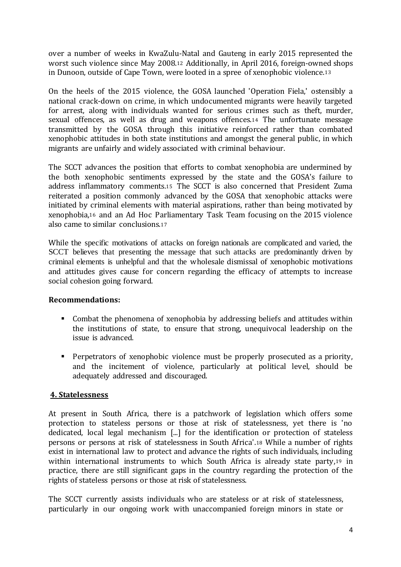over a number of weeks in KwaZulu-Natal and Gauteng in early 2015 represented the worst such violence since May 2008.<sup>12</sup> Additionally, in April 2016, foreign-owned shops in Dunoon, outside of Cape Town, were looted in a spree of xenophobic violence.<sup>13</sup>

On the heels of the 2015 violence, the GOSA launched 'Operation Fiela,' ostensibly a national crack-down on crime, in which undocumented migrants were heavily targeted for arrest, along with individuals wanted for serious crimes such as theft, murder, sexual offences, as well as drug and weapons offences.<sup>14</sup> The unfortunate message transmitted by the GOSA through this initiative reinforced rather than combated xenophobic attitudes in both state institutions and amongst the general public, in which migrants are unfairly and widely associated with criminal behaviour.

The SCCT advances the position that efforts to combat xenophobia are undermined by the both xenophobic sentiments expressed by the state and the GOSA's failure to address inflammatory comments.<sup>15</sup> The SCCT is also concerned that President Zuma reiterated a position commonly advanced by the GOSA that xenophobic attacks were initiated by criminal elements with material aspirations, rather than being motivated by xenophobia,<sup>16</sup> and an Ad Hoc Parliamentary Task Team focusing on the 2015 violence also came to similar conclusions.<sup>17</sup>

While the specific motivations of attacks on foreign nationals are complicated and varied, the SCCT believes that presenting the message that such attacks are predominantly driven by criminal elements is unhelpful and that the wholesale dismissal of xenophobic motivations and attitudes gives cause for concern regarding the efficacy of attempts to increase social cohesion going forward.

#### **Recommendations:**

- Combat the phenomena of xenophobia by addressing beliefs and attitudes within the institutions of state, to ensure that strong, unequivocal leadership on the issue is advanced.
- Perpetrators of xenophobic violence must be properly prosecuted as a priority, and the incitement of violence, particularly at political level, should be adequately addressed and discouraged.

#### **4. Statelessness**

At present in South Africa, there is a patchwork of legislation which offers some protection to stateless persons or those at risk of statelessness, yet there is 'no dedicated, local legal mechanism [...] for the identification or protection of stateless persons or persons at risk of statelessness in South Africa'.<sup>18</sup> While a number of rights exist in international law to protect and advance the rights of such individuals, including within international instruments to which South Africa is already state party,<sup>19</sup> in practice, there are still significant gaps in the country regarding the protection of the rights of stateless persons or those at risk of statelessness.

The SCCT currently assists individuals who are stateless or at risk of statelessness, particularly in our ongoing work with unaccompanied foreign minors in state or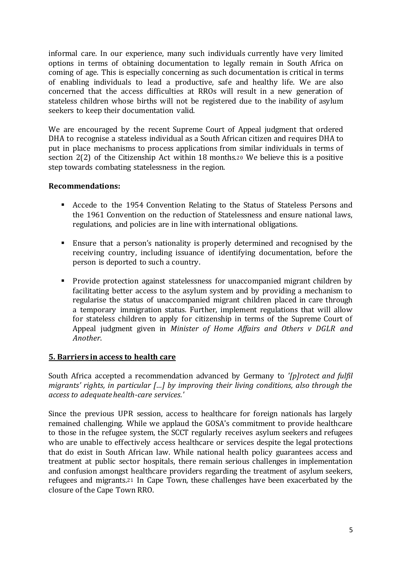informal care. In our experience, many such individuals currently have very limited options in terms of obtaining documentation to legally remain in South Africa on coming of age. This is especially concerning as such documentation is critical in terms of enabling individuals to lead a productive, safe and healthy life. We are also concerned that the access difficulties at RROs will result in a new generation of stateless children whose births will not be registered due to the inability of asylum seekers to keep their documentation valid.

We are encouraged by the recent Supreme Court of Appeal judgment that ordered DHA to recognise a stateless individual as a South African citizen and requires DHA to put in place mechanisms to process applications from similar individuals in terms of section 2(2) of the Citizenship Act within 18 months.<sup>20</sup> We believe this is a positive step towards combating statelessness in the region.

### **Recommendations:**

- Accede to the 1954 Convention Relating to the Status of Stateless Persons and the 1961 Convention on the reduction of Statelessness and ensure national laws, regulations, and policies are in line with international obligations.
- Ensure that a person's nationality is properly determined and recognised by the receiving country, including issuance of identifying documentation, before the person is deported to such a country.
- Provide protection against statelessness for unaccompanied migrant children by facilitating better access to the asylum system and by providing a mechanism to regularise the status of unaccompanied migrant children placed in care through a temporary immigration status. Further, implement regulations that will allow for stateless children to apply for citizenship in terms of the Supreme Court of Appeal judgment given in *Minister of Home Affairs and Others v DGLR and Another*.

#### **5. Barriers in access to health care**

South Africa accepted a recommendation advanced by Germany to *'[p]rotect and fulfil migrants' rights, in particular […] by improving their living conditions, also through the access to adequate health-care services.'*

Since the previous UPR session, access to healthcare for foreign nationals has largely remained challenging. While we applaud the GOSA's commitment to provide healthcare to those in the refugee system, the SCCT regularly receives asylum seekers and refugees who are unable to effectively access healthcare or services despite the legal protections that do exist in South African law. While national health policy guarantees access and treatment at public sector hospitals, there remain serious challenges in implementation and confusion amongst healthcare providers regarding the treatment of asylum seekers, refugees and migrants.<sup>21</sup> In Cape Town, these challenges have been exacerbated by the closure of the Cape Town RRO.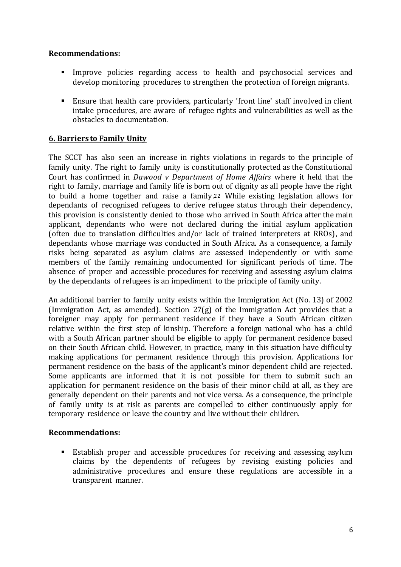## **Recommendations:**

- Improve policies regarding access to health and psychosocial services and develop monitoring procedures to strengthen the protection of foreign migrants.
- Ensure that health care providers, particularly 'front line' staff involved in client intake procedures, are aware of refugee rights and vulnerabilities as well as the obstacles to documentation.

## **6. Barriers to Family Unity**

The SCCT has also seen an increase in rights violations in regards to the principle of family unity. The right to family unity is constitutionally protected as the Constitutional Court has confirmed in *Dawood v Department of Home Affairs* where it held that the right to family, marriage and family life is born out of dignity as all people have the right to build a home together and raise a family.<sup>22</sup> While existing legislation allows for dependants of recognised refugees to derive refugee status through their dependency, this provision is consistently denied to those who arrived in South Africa after the main applicant, dependants who were not declared during the initial asylum application (often due to translation difficulties and/or lack of trained interpreters at RROs), and dependants whose marriage was conducted in South Africa. As a consequence, a family risks being separated as asylum claims are assessed independently or with some members of the family remaining undocumented for significant periods of time. The absence of proper and accessible procedures for receiving and assessing asylum claims by the dependants of refugees is an impediment to the principle of family unity.

An additional barrier to family unity exists within the Immigration Act (No. 13) of 2002 (Immigration Act, as amended). Section 27(g) of the Immigration Act provides that a foreigner may apply for permanent residence if they have a South African citizen relative within the first step of kinship. Therefore a foreign national who has a child with a South African partner should be eligible to apply for permanent residence based on their South African child. However, in practice, many in this situation have difficulty making applications for permanent residence through this provision. Applications for permanent residence on the basis of the applicant's minor dependent child are rejected. Some applicants are informed that it is not possible for them to submit such an application for permanent residence on the basis of their minor child at all, as they are generally dependent on their parents and not vice versa. As a consequence, the principle of family unity is at risk as parents are compelled to either continuously apply for temporary residence or leave the country and live without their children.

#### **Recommendations:**

 Establish proper and accessible procedures for receiving and assessing asylum claims by the dependents of refugees by revising existing policies and administrative procedures and ensure these regulations are accessible in a transparent manner.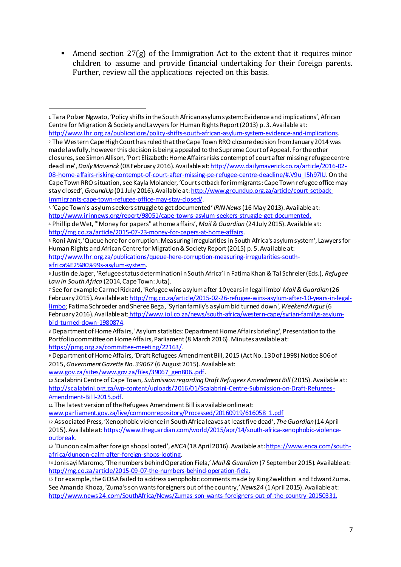Amend section  $27(g)$  of the Immigration Act to the extent that it requires minor children to assume and provide financial undertaking for their foreign parents. Further, review all the applications rejected on this basis.

<sup>2</sup> The Western Cape High Court has ruled that the Cape Town RRO closure decision from January 2014 was made lawfully, however this decision is being appealed to the Supreme Court of Appeal. For the other closures, see Simon Allison, 'Port Elizabeth: Home Affairs risks contempt of court after missing refugee centre deadline', *Daily Maverick* (08 February 2016). Available at: http://www.dailymaverick.co.za/article/2016-02- 08-home-affairs-risking-contempt-of-court-after-missing-pe-refugee-centre-deadline/#.V9u\_I5h97IU. On the Cape Town RRO situation, see Kayla Molander, 'Court setback for immigrants: Cape Town refugee office may stay closed',*GroundUp*(01 July 2016). Available at: http://www.groundup.org.za/article/court-setbackimmigrants-cape-town-refugee-office-may-stay-closed/.

africa%E2%80%99s-asylum-system.

 $\overline{a}$ 

<sup>1</sup> Tara Polzer Ngwato, 'Policy shifts in the South African asylum system: Evidence and implications', African Centre for Migration & Society and Lawyers for Human Rights Report (2013) p. 3. Available at: http://www.lhr.org.za/publications/policy-shifts-south-african-asylum-system-evidence-and-implications.

<sup>3</sup> 'Cape Town's asylum seekers struggle to get documented' *IRIN News*(16 May 2013). Available at: http://www.irinnews.org/report/98051/cape-towns-asylum-seekers-struggle-get-documented. <sup>4</sup> Phillip de Wet, '"Money for papers" at home affairs', *Mail & Guardian* (24 July 2015). Available at:

http://mg.co.za/article/2015-07-23-money-for-papers-at-home-affairs.

<sup>5</sup> Roni Amit, 'Queue here for corruption: Measuring irregularities in South Africa's asylum system', Lawyers for Human Rights and African Centre for Migration & Society Report (2015) p. 5. Available at: http://www.lhr.org.za/publications/queue-here-corruption-measuring-irregularities-south-

<sup>6</sup> Justin de Jager, 'Refugee status determination in South Africa' in Fatima Khan & Tal Schreier (Eds.), *Refugee Law in South Africa* (2014, Cape Town: Juta).

<sup>7</sup> See for example Carmel Rickard, 'Refugee wins asylum after 10 years in legal limbo' *Mail & Guardian*(26 February 2015).Available at: http://mg.co.za/article/2015-02-26-refugee-wins-asylum-after-10-years-in-legallimbo; Fatima Schroeder and Sheree Bega, 'Syrian family's asylum bid turned down', *Weekend Argus*(6 February 2016).Available at:http://www.iol.co.za/news/south-africa/western-cape/syrian-familys-asylumbid-turned-down-1980874.

<sup>8</sup> Department of Home Affairs, 'Asylum statistics: Department Home Affairs briefing', Presentation to the Portfolio committee on Home Affairs, Parliament (8 March 2016). Minutes available at: https://pmg.org.za/committee-meeting/22163/.

<sup>9</sup> Department of Home Affairs, 'Draft Refugees Amendment Bill, 2015 (Act No. 130 of 1998) Notice 806 of 2015, *Government Gazette No. 39067* (6 August 2015). Available at: www.gov.za/sites/www.gov.za/files/39067\_gen806..pdf.

<sup>10</sup> Scalabrini Centre of Cape Town, *Submission regarding Draft Refugees Amendment Bill* (2015). Available at: http://scalabrini.org.za/wp-content/uploads/2016/01/Scalabrini-Centre-Submission-on-Draft-Refugees-Amendment-Bill-2015.pdf.

<sup>11</sup> The latest version of the Refugees Amendment Bill is available online at:

www.parliament.gov.za/live/commonrepository/Processed/20160919/616058\_1.pdf

<sup>12</sup> Associated Press, 'Xenophobic violence in South Africa leaves at least five dead', *The Guardian*(14 April 2015). Available at: https://www.theguardian.com/world/2015/apr/14/south-africa-xenophobic-violenceoutbreak.

<sup>13</sup> 'Dunoon calm after foreign shops looted', *eNCA*(18 April 2016). Available at:https://www.enca.com/southafrica/dunoon-calm-after-foreign-shops-looting.

<sup>14</sup> Jonisayi Maromo, 'The numbers behind Operation Fiela,' *Mail & Guardian* (7 September 2015). Available at: http://mg.co.za/article/2015-09-07-the-numbers-behind-operation-fiela.

<sup>15</sup> For example, the GOSA failed to address xenophobic comments made by King Zwelithini and Edward Zuma. See Amanda Khoza, 'Zuma's son wants foreigners out of the country,' *News24* (1 April 2015). Available at: http://www.news24.com/SouthAfrica/News/Zumas-son-wants-foreigners-out-of-the-country-20150331.